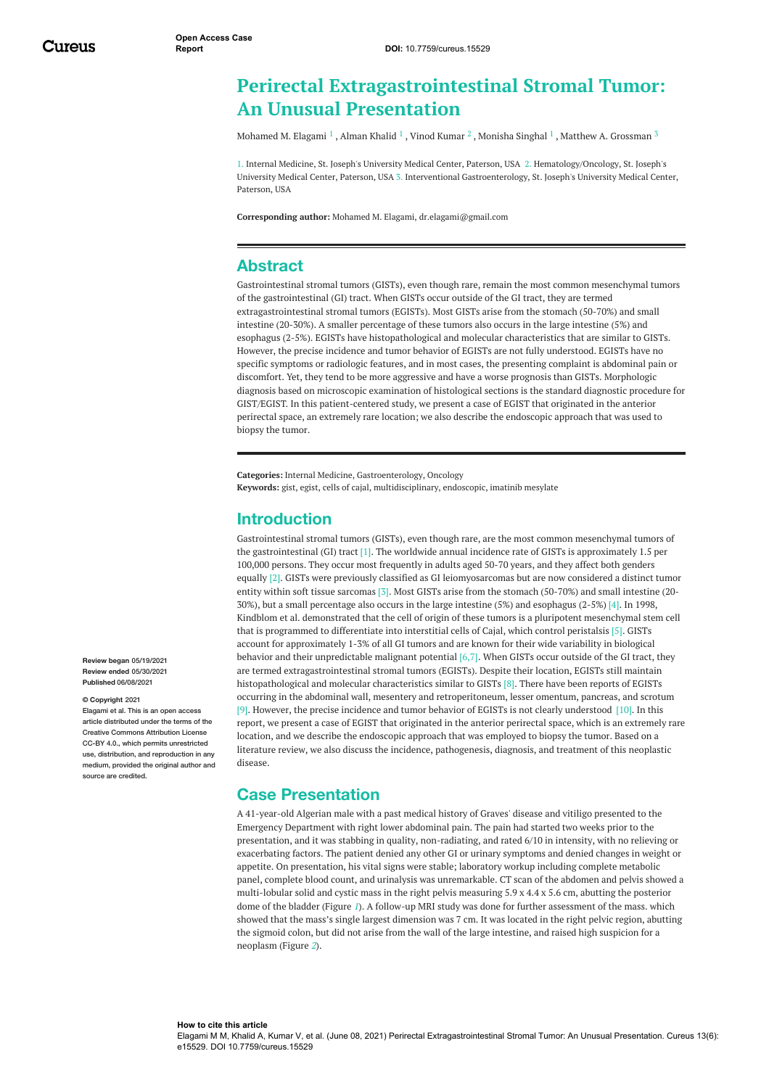# **Perirectal Extragastrointestinal Stromal Tumor: An Unusual Presentation**

[Mohamed](https://www.cureus.com/users/221400-mohamed-m-elagami) M. Elagami  $^1$  , [Alman](https://www.cureus.com/users/222050-khalid-alman) Khalid  $^1$  , Vinod [Kumar](https://www.cureus.com/users/140389-vinod-kumar)  $^2$  , [Monisha](https://www.cureus.com/users/222052-monisha-singhal) Singhal  $^1$  , Matthew A. [Grossman](https://www.cureus.com/users/140388-matthew-a-grossman)  $^3$ 

1. Internal Medicine, St. Joseph's University Medical Center, Paterson, USA 2. Hematology/Oncology, St. Joseph's University Medical Center, Paterson, USA 3. Interventional Gastroenterology, St. Joseph's University Medical Center, Paterson, USA

**Corresponding author:** Mohamed M. Elagami, dr.elagami@gmail.com

## **Abstract**

Gastrointestinal stromal tumors (GISTs), even though rare, remain the most common mesenchymal tumors of the gastrointestinal (GI) tract. When GISTs occur outside of the GI tract, they are termed extragastrointestinal stromal tumors (EGISTs). Most GISTs arise from the stomach (50-70%) and small intestine (20-30%). A smaller percentage of these tumors also occurs in the large intestine (5%) and esophagus (2-5%). EGISTs have histopathological and molecular characteristics that are similar to GISTs. However, the precise incidence and tumor behavior of EGISTs are not fully understood. EGISTs have no specific symptoms or radiologic features, and in most cases, the presenting complaint is abdominal pain or discomfort. Yet, they tend to be more aggressive and have a worse prognosis than GISTs. Morphologic diagnosis based on microscopic examination of histological sections is the standard diagnostic procedure for GIST/EGIST. In this patient-centered study, we present a case of EGIST that originated in the anterior perirectal space, an extremely rare location; we also describe the endoscopic approach that was used to biopsy the tumor.

**Categories:** Internal Medicine, Gastroenterology, Oncology **Keywords:** gist, egist, cells of cajal, multidisciplinary, endoscopic, imatinib mesylate

## **Introduction**

Gastrointestinal stromal tumors (GISTs), even though rare, are the most common mesenchymal tumors of the gastrointestinal (GI) tract [1]. The worldwide annual incidence rate of GISTs is approximately 1.5 per 100,000 persons. They occur most frequently in adults aged 50-70 years, and they affect both genders equally [2]. GISTs were previously classified as GI leiomyosarcomas but are now considered a distinct tumor entity within soft tissue sarcomas [3]. Most GISTs arise from the stomach (50-70%) and small intestine (20- 30%), but a small percentage also occurs in the large intestine (5%) and esophagus (2-5%) [4]. In 1998, Kindblom et al. demonstrated that the cell of origin of these tumors is a pluripotent mesenchymal stem cell that is programmed to differentiate into interstitial cells of Cajal, which control peristalsis [5]. GISTs account for approximately 1-3% of all GI tumors and are known for their wide variability in biological behavior and their unpredictable malignant potential [6,7]. When GISTs occur outside of the GI tract, they are termed extragastrointestinal stromal tumors (EGISTs). Despite their location, EGISTs still maintain histopathological and molecular characteristics similar to GISTs [8]. There have been reports of EGISTs occurring in the abdominal wall, mesentery and retroperitoneum, lesser omentum, pancreas, and scrotum [9]. However, the precise incidence and tumor behavior of EGISTs is not clearly understood [10]. In this report, we present a case of EGIST that originated in the anterior perirectal space, which is an extremely rare location, and we describe the endoscopic approach that was employed to biopsy the tumor. Based on a literature review, we also discuss the incidence, pathogenesis, diagnosis, and treatment of this neoplastic disease.

## **Case Presentation**

A 41-year-old Algerian male with a past medical history of Graves' disease and vitiligo presented to the Emergency Department with right lower abdominal pain. The pain had started two weeks prior to the presentation, and it was stabbing in quality, non-radiating, and rated 6/10 in intensity, with no relieving or exacerbating factors. The patient denied any other GI or urinary symptoms and denied changes in weight or appetite. On presentation, his vital signs were stable; laboratory workup including complete metabolic panel, complete blood count, and urinalysis was unremarkable. CT scan of the abdomen and pelvis showed a multi-lobular solid and cystic mass in the right pelvis measuring 5.9 x 4.4 x 5.6 cm, abutting the posterior dome of the bladder (Figure *[1](#page-1-0)*). A follow-up MRI study was done for further assessment of the mass. which showed that the mass's single largest dimension was 7 cm. It was located in the right pelvic region, abutting the sigmoid colon, but did not arise from the wall of the large intestine, and raised high suspicion for a neoplasm (Figure *[2](#page-1-1)*).

**Review began** 05/19/2021 **Review ended** 05/30/2021 **Published** 06/08/2021

#### **© Copyright** 2021

Elagami et al. This is an open access article distributed under the terms of the Creative Commons Attribution License CC-BY 4.0., which permits unrestricted use, distribution, and reproduction in any medium, provided the original author and source are credited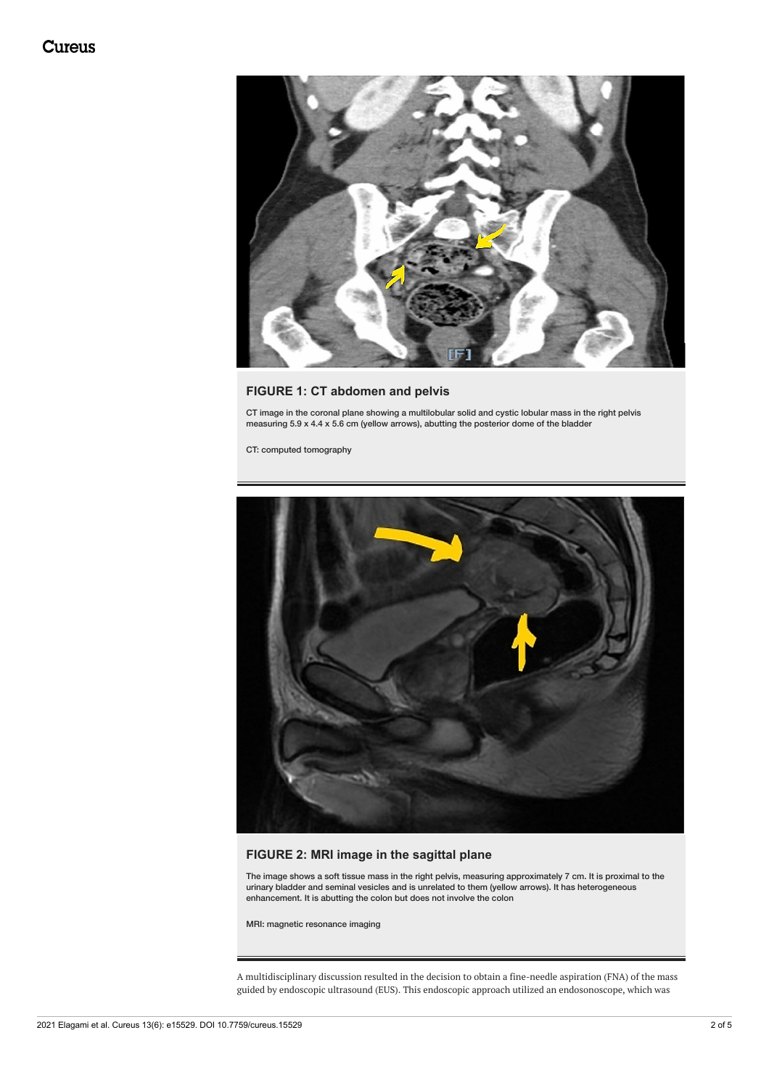<span id="page-1-0"></span>

## **FIGURE 1: CT abdomen and pelvis**

CT image in the coronal plane showing a multilobular solid and cystic lobular mass in the right pelvis measuring 5.9 x 4.4 x 5.6 cm (yellow arrows), abutting the posterior dome of the bladder

CT: computed tomography

<span id="page-1-1"></span>

### **FIGURE 2: MRI image in the sagittal plane**

The image shows a soft tissue mass in the right pelvis, measuring approximately 7 cm. It is proximal to the urinary bladder and seminal vesicles and is unrelated to them (yellow arrows). It has heterogeneous enhancement. It is abutting the colon but does not involve the colon

MRI: magnetic resonance imaging

A multidisciplinary discussion resulted in the decision to obtain a fine-needle aspiration (FNA) of the mass guided by endoscopic ultrasound (EUS). This endoscopic approach utilized an endosonoscope, which was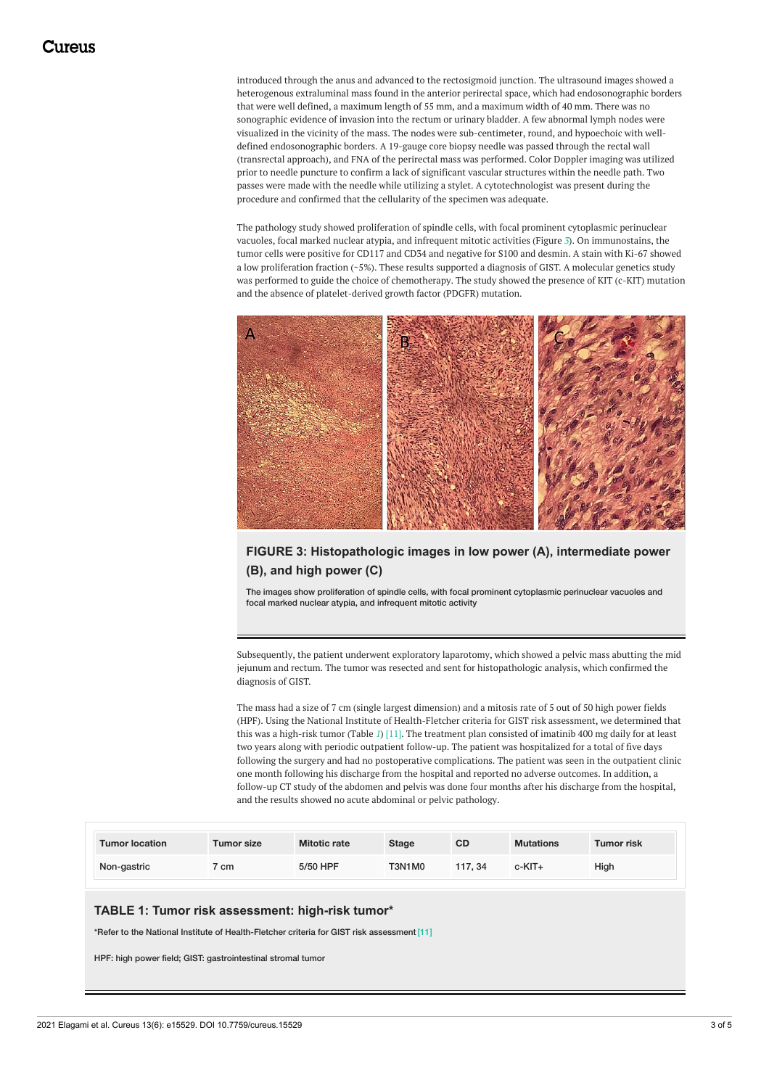introduced through the anus and advanced to the rectosigmoid junction. The ultrasound images showed a heterogenous extraluminal mass found in the anterior perirectal space, which had endosonographic borders that were well defined, a maximum length of 55 mm, and a maximum width of 40 mm. There was no sonographic evidence of invasion into the rectum or urinary bladder. A few abnormal lymph nodes were visualized in the vicinity of the mass. The nodes were sub-centimeter, round, and hypoechoic with welldefined endosonographic borders. A 19-gauge core biopsy needle was passed through the rectal wall (transrectal approach), and FNA of the perirectal mass was performed. Color Doppler imaging was utilized prior to needle puncture to confirm a lack of significant vascular structures within the needle path. Two passes were made with the needle while utilizing a stylet. A cytotechnologist was present during the procedure and confirmed that the cellularity of the specimen was adequate.

The pathology study showed proliferation of spindle cells, with focal prominent cytoplasmic perinuclear vacuoles, focal marked nuclear atypia, and infrequent mitotic activities (Figure *[3](#page-2-0)*). On immunostains, the tumor cells were positive for CD117 and CD34 and negative for S100 and desmin. A stain with Ki-67 showed a low proliferation fraction (~5%). These results supported a diagnosis of GIST. A molecular genetics study was performed to guide the choice of chemotherapy. The study showed the presence of KIT (c-KIT) mutation and the absence of platelet-derived growth factor (PDGFR) mutation.

<span id="page-2-0"></span>

## **FIGURE 3: Histopathologic images in low power (A), intermediate power (B), and high power (C)**

The images show proliferation of spindle cells, with focal prominent cytoplasmic perinuclear vacuoles and focal marked nuclear atypia, and infrequent mitotic activity

Subsequently, the patient underwent exploratory laparotomy, which showed a pelvic mass abutting the mid jejunum and rectum. The tumor was resected and sent for histopathologic analysis, which confirmed the diagnosis of GIST.

The mass had a size of 7 cm (single largest dimension) and a mitosis rate of 5 out of 50 high power fields (HPF). Using the National Institute of Health-Fletcher criteria for GIST risk assessment, we determined that this was a high-risk tumor (Table *[1](#page-2-1)*) [11]. The treatment plan consisted of imatinib 400 mg daily for at least two years along with periodic outpatient follow-up. The patient was hospitalized for a total of five days following the surgery and had no postoperative complications. The patient was seen in the outpatient clinic one month following his discharge from the hospital and reported no adverse outcomes. In addition, a follow-up CT study of the abdomen and pelvis was done four months after his discharge from the hospital, and the results showed no acute abdominal or pelvic pathology.

<span id="page-2-1"></span>

| <b>Tumor location</b> | Tumor size | <b>Mitotic rate</b> | <b>Stage</b>  | <b>CD</b> | <b>Mutations</b> | <b>Tumor risk</b> |
|-----------------------|------------|---------------------|---------------|-----------|------------------|-------------------|
| Non-gastric           | cm         | 5/50 HPF            | <b>T3N1M0</b> | 117.34    | c-KIT+           | High              |

#### **TABLE 1: Tumor risk assessment: high-risk tumor\***

\*Refer to the National Institute of Health-Fletcher criteria for GIST risk assessment [11]

HPF: high power field; GIST: gastrointestinal stromal tumor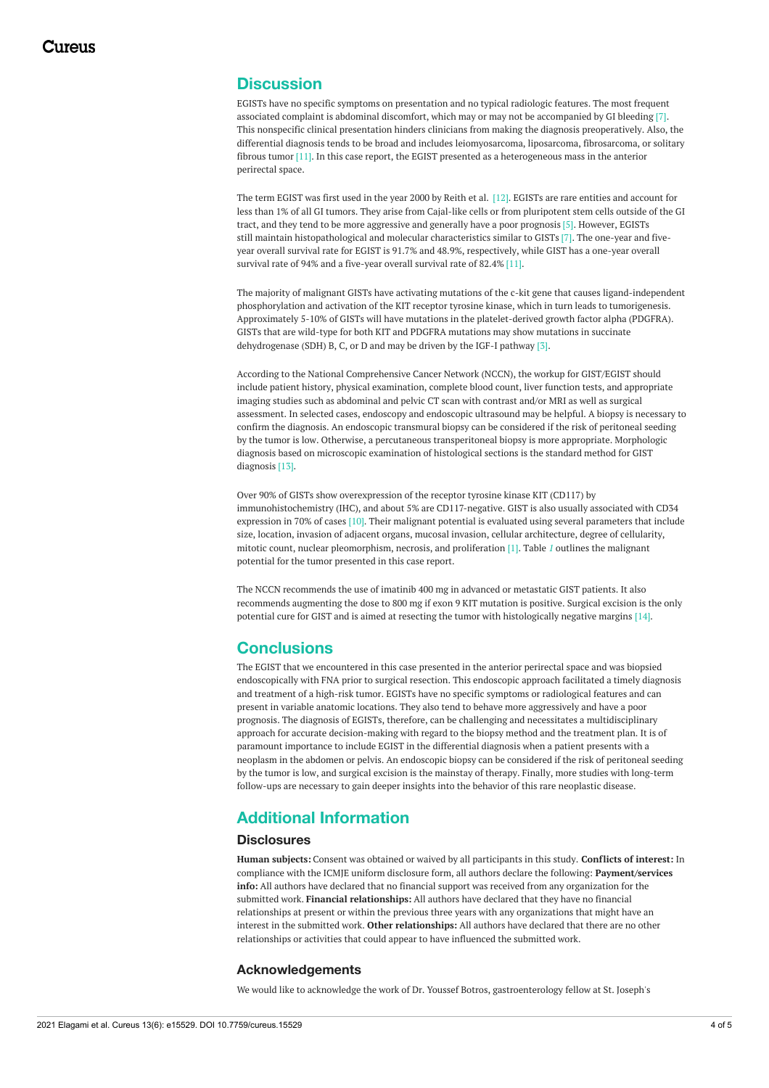## **Discussion**

EGISTs have no specific symptoms on presentation and no typical radiologic features. The most frequent associated complaint is abdominal discomfort, which may or may not be accompanied by GI bleeding [7]. This nonspecific clinical presentation hinders clinicians from making the diagnosis preoperatively. Also, the differential diagnosis tends to be broad and includes leiomyosarcoma, liposarcoma, fibrosarcoma, or solitary fibrous tumor [11]. In this case report, the EGIST presented as a heterogeneous mass in the anterior perirectal space.

The term EGIST was first used in the year 2000 by Reith et al. [12]. EGISTs are rare entities and account for less than 1% of all GI tumors. They arise from Cajal-like cells or from pluripotent stem cells outside of the GI tract, and they tend to be more aggressive and generally have a poor prognosis [5]. However, EGISTs still maintain histopathological and molecular characteristics similar to GISTs [7]. The one-year and fiveyear overall survival rate for EGIST is 91.7% and 48.9%, respectively, while GIST has a one-year overall survival rate of 94% and a five-year overall survival rate of 82.4% [11].

The majority of malignant GISTs have activating mutations of the c-kit gene that causes ligand-independent phosphorylation and activation of the KIT receptor tyrosine kinase, which in turn leads to tumorigenesis. Approximately 5-10% of GISTs will have mutations in the platelet-derived growth factor alpha (PDGFRA). GISTs that are wild-type for both KIT and PDGFRA mutations may show mutations in succinate dehydrogenase (SDH) B, C, or D and may be driven by the IGF-I pathway [3].

According to the National Comprehensive Cancer Network (NCCN), the workup for GIST/EGIST should include patient history, physical examination, complete blood count, liver function tests, and appropriate imaging studies such as abdominal and pelvic CT scan with contrast and/or MRI as well as surgical assessment. In selected cases, endoscopy and endoscopic ultrasound may be helpful. A biopsy is necessary to confirm the diagnosis. An endoscopic transmural biopsy can be considered if the risk of peritoneal seeding by the tumor is low. Otherwise, a percutaneous transperitoneal biopsy is more appropriate. Morphologic diagnosis based on microscopic examination of histological sections is the standard method for GIST diagnosis [13].

Over 90% of GISTs show overexpression of the receptor tyrosine kinase KIT (CD117) by immunohistochemistry (IHC), and about 5% are CD117-negative. GIST is also usually associated with CD34 expression in 70% of cases [10]. Their malignant potential is evaluated using several parameters that include size, location, invasion of adjacent organs, mucosal invasion, cellular architecture, degree of cellularity, mitotic count, nuclear pleomorphism, necrosis, and proliferation [1]. Table *[1](#page-2-1)* outlines the malignant potential for the tumor presented in this case report.

The NCCN recommends the use of imatinib 400 mg in advanced or metastatic GIST patients. It also recommends augmenting the dose to 800 mg if exon 9 KIT mutation is positive. Surgical excision is the only potential cure for GIST and is aimed at resecting the tumor with histologically negative margins [14].

## **Conclusions**

The EGIST that we encountered in this case presented in the anterior perirectal space and was biopsied endoscopically with FNA prior to surgical resection. This endoscopic approach facilitated a timely diagnosis and treatment of a high-risk tumor. EGISTs have no specific symptoms or radiological features and can present in variable anatomic locations. They also tend to behave more aggressively and have a poor prognosis. The diagnosis of EGISTs, therefore, can be challenging and necessitates a multidisciplinary approach for accurate decision-making with regard to the biopsy method and the treatment plan. It is of paramount importance to include EGIST in the differential diagnosis when a patient presents with a neoplasm in the abdomen or pelvis. An endoscopic biopsy can be considered if the risk of peritoneal seeding by the tumor is low, and surgical excision is the mainstay of therapy. Finally, more studies with long-term follow-ups are necessary to gain deeper insights into the behavior of this rare neoplastic disease.

## **Additional Information**

#### **Disclosures**

**Human subjects:** Consent was obtained or waived by all participants in this study. **Conflicts of interest:** In compliance with the ICMJE uniform disclosure form, all authors declare the following: **Payment/services info:** All authors have declared that no financial support was received from any organization for the submitted work. **Financial relationships:** All authors have declared that they have no financial relationships at present or within the previous three years with any organizations that might have an interest in the submitted work. **Other relationships:** All authors have declared that there are no other relationships or activities that could appear to have influenced the submitted work.

#### **Acknowledgements**

We would like to acknowledge the work of Dr. Youssef Botros, gastroenterology fellow at St. Joseph's